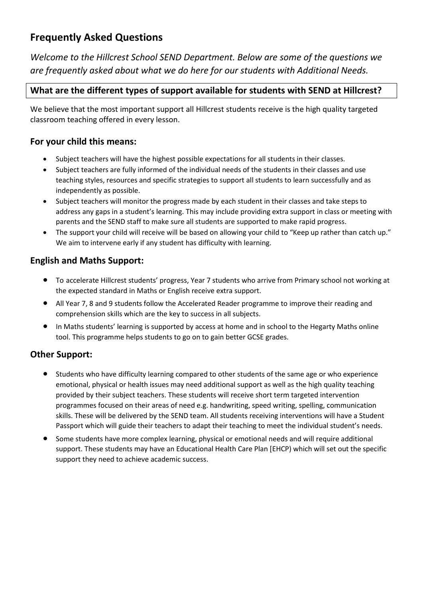# **Frequently Asked Questions**

*Welcome to the Hillcrest School SEND Department. Below are some of the questions we are frequently asked about what we do here for our students with Additional Needs.*

# **What are the different types of support available for students with SEND at Hillcrest?**

We believe that the most important support all Hillcrest students receive is the high quality targeted classroom teaching offered in every lesson.

## **For your child this means:**

- Subject teachers will have the highest possible expectations for all students in their classes.
- Subject teachers are fully informed of the individual needs of the students in their classes and use teaching styles, resources and specific strategies to support all students to learn successfully and as independently as possible.
- Subject teachers will monitor the progress made by each student in their classes and take steps to address any gaps in a student's learning. This may include providing extra support in class or meeting with parents and the SEND staff to make sure all students are supported to make rapid progress.
- The support your child will receive will be based on allowing your child to "Keep up rather than catch up." We aim to intervene early if any student has difficulty with learning.

# **English and Maths Support:**

- To accelerate Hillcrest students' progress, Year 7 students who arrive from Primary school not working at the expected standard in Maths or English receive extra support.
- All Year 7, 8 and 9 students follow the Accelerated Reader programme to improve their reading and comprehension skills which are the key to success in all subjects.
- In Maths students' learning is supported by access at home and in school to the Hegarty Maths online tool. This programme helps students to go on to gain better GCSE grades.

# **Other Support:**

- Students who have difficulty learning compared to other students of the same age or who experience emotional, physical or health issues may need additional support as well as the high quality teaching provided by their subject teachers. These students will receive short term targeted intervention programmes focused on their areas of need e.g. handwriting, speed writing, spelling, communication skills. These will be delivered by the SEND team. All students receiving interventions will have a Student Passport which will guide their teachers to adapt their teaching to meet the individual student's needs.
- Some students have more complex learning, physical or emotional needs and will require additional support. These students may have an Educational Health Care Plan [EHCP) which will set out the specific support they need to achieve academic success.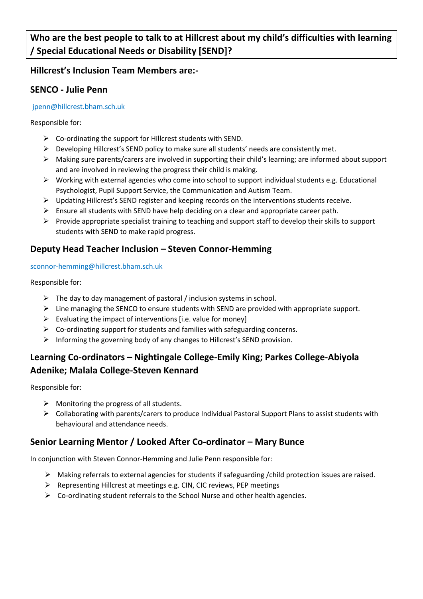**Who are the best people to talk to at Hillcrest about my child's difficulties with learning / Special Educational Needs or Disability [SEND]?**

## **Hillcrest's Inclusion Team Members are:-**

## **SENCO - Julie Penn**

### jpenn@hillcrest.bham.sch.uk

Responsible for:

- $\triangleright$  Co-ordinating the support for Hillcrest students with SEND.
- Developing Hillcrest's SEND policy to make sure all students' needs are consistently met.
- $\triangleright$  Making sure parents/carers are involved in supporting their child's learning; are informed about support and are involved in reviewing the progress their child is making.
- $\triangleright$  Working with external agencies who come into school to support individual students e.g. Educational Psychologist, Pupil Support Service, the Communication and Autism Team.
- $\triangleright$  Updating Hillcrest's SEND register and keeping records on the interventions students receive.
- $\triangleright$  Ensure all students with SEND have help deciding on a clear and appropriate career path.
- $\triangleright$  Provide appropriate specialist training to teaching and support staff to develop their skills to support students with SEND to make rapid progress.

## **Deputy Head Teacher Inclusion – Steven Connor-Hemming**

### sconnor-hemming@hillcrest.bham.sch.uk

Responsible for:

- $\triangleright$  The day to day management of pastoral / inclusion systems in school.
- $\triangleright$  Line managing the SENCO to ensure students with SEND are provided with appropriate support.
- $\triangleright$  Evaluating the impact of interventions [i.e. value for money]
- $\triangleright$  Co-ordinating support for students and families with safeguarding concerns.
- Informing the governing body of any changes to Hillcrest's SEND provision.

# **Learning Co-ordinators – Nightingale College-Emily King; Parkes College-Abiyola Adenike; Malala College-Steven Kennard**

Responsible for:

- $\triangleright$  Monitoring the progress of all students.
- Collaborating with parents/carers to produce Individual Pastoral Support Plans to assist students with behavioural and attendance needs.

# **Senior Learning Mentor / Looked After Co-ordinator – Mary Bunce**

In conjunction with Steven Connor-Hemming and Julie Penn responsible for:

- $\triangleright$  Making referrals to external agencies for students if safeguarding /child protection issues are raised.
- Representing Hillcrest at meetings e.g. CIN, CIC reviews, PEP meetings
- $\triangleright$  Co-ordinating student referrals to the School Nurse and other health agencies.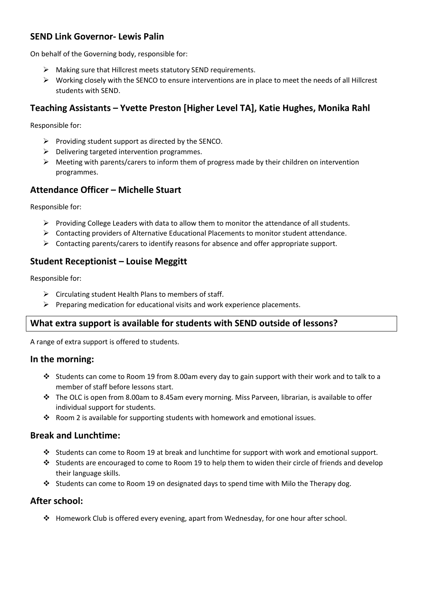## **SEND Link Governor- Lewis Palin**

On behalf of the Governing body, responsible for:

- $\triangleright$  Making sure that Hillcrest meets statutory SEND requirements.
- $\triangleright$  Working closely with the SENCO to ensure interventions are in place to meet the needs of all Hillcrest students with SEND.

# **Teaching Assistants – Yvette Preston [Higher Level TA], Katie Hughes, Monika Rahl**

Responsible for:

- $\triangleright$  Providing student support as directed by the SENCO.
- $\triangleright$  Delivering targeted intervention programmes.
- $\triangleright$  Meeting with parents/carers to inform them of progress made by their children on intervention programmes.

## **Attendance Officer – Michelle Stuart**

Responsible for:

- $\triangleright$  Providing College Leaders with data to allow them to monitor the attendance of all students.
- $\triangleright$  Contacting providers of Alternative Educational Placements to monitor student attendance.
- $\triangleright$  Contacting parents/carers to identify reasons for absence and offer appropriate support.

## **Student Receptionist – Louise Meggitt**

Responsible for:

- $\triangleright$  Circulating student Health Plans to members of staff.
- $\triangleright$  Preparing medication for educational visits and work experience placements.

## **What extra support is available for students with SEND outside of lessons?**

A range of extra support is offered to students.

### **In the morning:**

- Students can come to Room 19 from 8.00am every day to gain support with their work and to talk to a member of staff before lessons start.
- $\cdot \cdot$  The OLC is open from 8.00am to 8.45am every morning. Miss Parveen, librarian, is available to offer individual support for students.
- Room 2 is available for supporting students with homework and emotional issues.

### **Break and Lunchtime:**

- Students can come to Room 19 at break and lunchtime for support with work and emotional support.
- Students are encouraged to come to Room 19 to help them to widen their circle of friends and develop their language skills.
- Students can come to Room 19 on designated days to spend time with Milo the Therapy dog.

### **After school:**

 $\div$  Homework Club is offered every evening, apart from Wednesday, for one hour after school.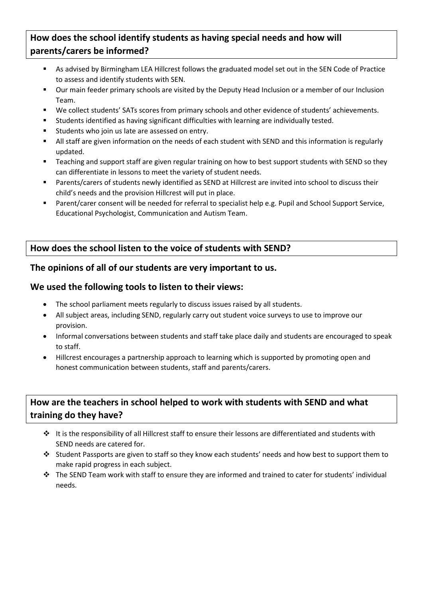# **How does the school identify students as having special needs and how will parents/carers be informed?**

- As advised by Birmingham LEA Hillcrest follows the graduated model set out in the SEN Code of Practice to assess and identify students with SEN.
- Our main feeder primary schools are visited by the Deputy Head Inclusion or a member of our Inclusion Team.
- We collect students' SATs scores from primary schools and other evidence of students' achievements.
- Students identified as having significant difficulties with learning are individually tested.
- **EXECT:** Students who join us late are assessed on entry.
- All staff are given information on the needs of each student with SEND and this information is regularly updated.
- **Teaching and support staff are given regular training on how to best support students with SEND so they** can differentiate in lessons to meet the variety of student needs.
- Parents/carers of students newly identified as SEND at Hillcrest are invited into school to discuss their child's needs and the provision Hillcrest will put in place.
- Parent/carer consent will be needed for referral to specialist help e.g. Pupil and School Support Service, Educational Psychologist, Communication and Autism Team.

# **How does the school listen to the voice of students with SEND?**

## **The opinions of all of our students are very important to us.**

## **We used the following tools to listen to their views:**

- The school parliament meets regularly to discuss issues raised by all students.
- All subject areas, including SEND, regularly carry out student voice surveys to use to improve our provision.
- Informal conversations between students and staff take place daily and students are encouraged to speak to staff.
- Hillcrest encourages a partnership approach to learning which is supported by promoting open and honest communication between students, staff and parents/carers.

# **How are the teachers in school helped to work with students with SEND and what training do they have?**

- It is the responsibility of all Hillcrest staff to ensure their lessons are differentiated and students with SEND needs are catered for.
- Student Passports are given to staff so they know each students' needs and how best to support them to make rapid progress in each subject.
- \* The SEND Team work with staff to ensure they are informed and trained to cater for students' individual needs.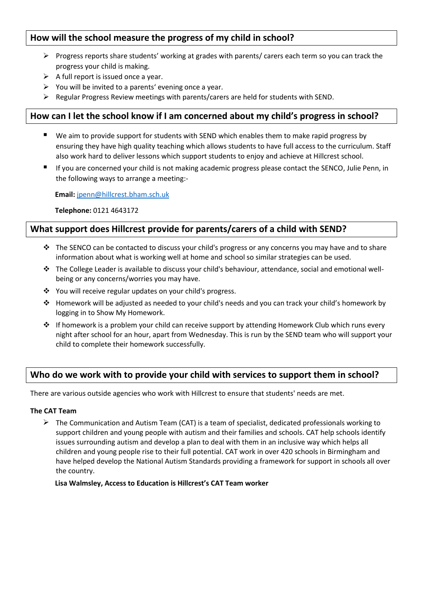# **How will the school measure the progress of my child in school?**

- $\triangleright$  Progress reports share students' working at grades with parents/ carers each term so you can track the progress your child is making.
- $\triangleright$  A full report is issued once a year.
- $\triangleright$  You will be invited to a parents' evening once a year.
- $\triangleright$  Regular Progress Review meetings with parents/carers are held for students with SEND.

### **How can I let the school know if I am concerned about my child's progress in school?**

- We aim to provide support for students with SEND which enables them to make rapid progress by ensuring they have high quality teaching which allows students to have full access to the curriculum. Staff also work hard to deliver lessons which support students to enjoy and achieve at Hillcrest school.
- If you are concerned your child is not making academic progress please contact the SENCO, Julie Penn, in the following ways to arrange a meeting:-

 **Email:** [jpenn@hillcrest.bham.sch.uk](mailto:jpenn@hillcrest.bham.sch.uk)

**Telephone:** 0121 4643172

### **What support does Hillcrest provide for parents/carers of a child with SEND?**

- $\div$  The SENCO can be contacted to discuss your child's progress or any concerns you may have and to share information about what is working well at home and school so similar strategies can be used.
- The College Leader is available to discuss your child's behaviour, attendance, social and emotional wellbeing or any concerns/worries you may have.
- You will receive regular updates on your child's progress.
- Homework will be adjusted as needed to your child's needs and you can track your child's homework by logging in to Show My Homework.
- $\cdot \cdot$  If homework is a problem your child can receive support by attending Homework Club which runs every night after school for an hour, apart from Wednesday. This is run by the SEND team who will support your child to complete their homework successfully.

## **Who do we work with to provide your child with services to support them in school?**

There are various outside agencies who work with Hillcrest to ensure that students' needs are met.

#### **The CAT Team**

 $\triangleright$  The Communication and Autism Team (CAT) is a team of specialist, dedicated professionals working to support children and young people with autism and their families and schools. CAT help schools identify issues surrounding autism and develop a plan to deal with them in an inclusive way which helps all children and young people rise to their full potential. CAT work in over 420 schools in Birmingham and have helped develop the National Autism Standards providing a framework for support in schools all over the country.

#### **Lisa Walmsley, Access to Education is Hillcrest's CAT Team worker**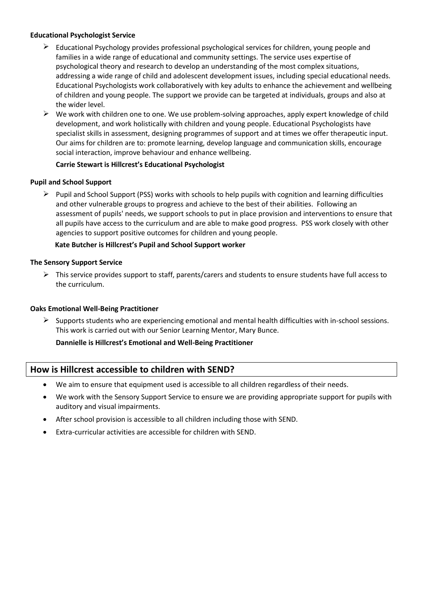### **Educational Psychologist Service**

- $\triangleright$  Educational Psychology provides professional psychological services for children, young people and families in a wide range of educational and community settings. The service uses expertise of psychological theory and research to develop an understanding of the most complex situations, addressing a wide range of child and adolescent development issues, including special educational needs. Educational Psychologists work collaboratively with key adults to enhance the achievement and wellbeing of children and young people. The support we provide can be targeted at individuals, groups and also at the wider level.
- $\triangleright$  We work with children one to one. We use problem-solving approaches, apply expert knowledge of child development, and work holistically with children and young people. Educational Psychologists have specialist skills in assessment, designing programmes of support and at times we offer therapeutic input. Our aims for children are to: promote learning, develop language and communication skills, encourage social interaction, improve behaviour and enhance wellbeing.

#### **Carrie Stewart is Hillcrest's Educational Psychologist**

#### **Pupil and School Support**

 $\triangleright$  Pupil and School Support (PSS) works with schools to help pupils with cognition and learning difficulties and other vulnerable groups to progress and achieve to the best of their abilities. Following an assessment of pupils' needs, we support schools to put in place provision and interventions to ensure that all pupils have access to the curriculum and are able to make good progress. PSS work closely with other agencies to support positive outcomes for children and young people.

#### **Kate Butcher is Hillcrest's Pupil and School Support worker**

#### **The Sensory Support Service**

 $\triangleright$  This service provides support to staff, parents/carers and students to ensure students have full access to the curriculum.

#### **Oaks Emotional Well-Being Practitioner**

 $\triangleright$  Supports students who are experiencing emotional and mental health difficulties with in-school sessions. This work is carried out with our Senior Learning Mentor, Mary Bunce.

### **Dannielle is Hillcrest's Emotional and Well-Being Practitioner**

### **How is Hillcrest accessible to children with SEND?**

- We aim to ensure that equipment used is accessible to all children regardless of their needs.
- We work with the Sensory Support Service to ensure we are providing appropriate support for pupils with auditory and visual impairments.
- After school provision is accessible to all children including those with SEND.
- Extra-curricular activities are accessible for children with SEND.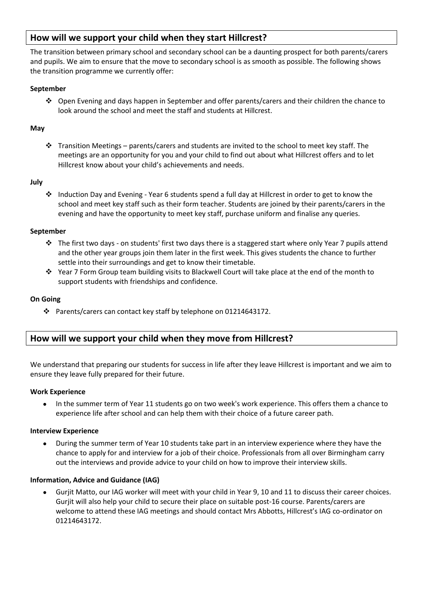## **How will we support your child when they start Hillcrest?**

The transition between primary school and secondary school can be a daunting prospect for both parents/carers and pupils. We aim to ensure that the move to secondary school is as smooth as possible. The following shows the transition programme we currently offer:

### **September**

 Open Evening and days happen in September and offer parents/carers and their children the chance to look around the school and meet the staff and students at Hillcrest.

#### **May**

Transition Meetings – parents/carers and students are invited to the school to meet key staff. The meetings are an opportunity for you and your child to find out about what Hillcrest offers and to let Hillcrest know about your child's achievements and needs.

#### **July**

\* Induction Day and Evening - Year 6 students spend a full day at Hillcrest in order to get to know the school and meet key staff such as their form teacher. Students are joined by their parents/carers in the evening and have the opportunity to meet key staff, purchase uniform and finalise any queries.

#### **September**

- $\cdot \cdot$  The first two days on students' first two days there is a staggered start where only Year 7 pupils attend and the other year groups join them later in the first week. This gives students the chance to further settle into their surroundings and get to know their timetable.
- Year 7 Form Group team building visits to Blackwell Court will take place at the end of the month to support students with friendships and confidence.

#### **On Going**

Parents/carers can contact key staff by telephone on 01214643172.

## **How will we support your child when they move from Hillcrest?**

We understand that preparing our students for success in life after they leave Hillcrest is important and we aim to ensure they leave fully prepared for their future.

#### **Work Experience**

• In the summer term of Year 11 students go on two week's work experience. This offers them a chance to experience life after school and can help them with their choice of a future career path.

#### **Interview Experience**

 During the summer term of Year 10 students take part in an interview experience where they have the chance to apply for and interview for a job of their choice. Professionals from all over Birmingham carry out the interviews and provide advice to your child on how to improve their interview skills.

#### **Information, Advice and Guidance (IAG)**

 Gurjit Matto, our IAG worker will meet with your child in Year 9, 10 and 11 to discuss their career choices. Gurjit will also help your child to secure their place on suitable post-16 course. Parents/carers are welcome to attend these IAG meetings and should contact Mrs Abbotts, Hillcrest's IAG co-ordinator on 01214643172.